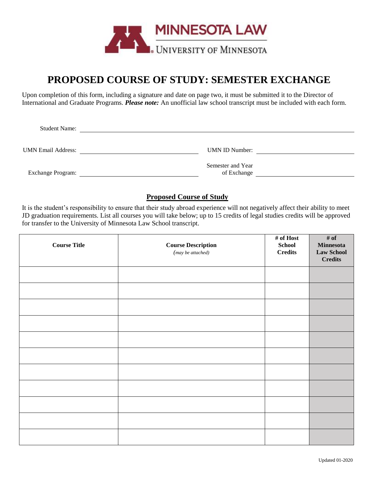

# **PROPOSED COURSE OF STUDY: SEMESTER EXCHANGE**

Upon completion of this form, including a signature and date on page two, it must be submitted it to the Director of International and Graduate Programs. *Please note:* An unofficial law school transcript must be included with each form.

| <b>Student Name:</b>      |                       |  |
|---------------------------|-----------------------|--|
|                           |                       |  |
| <b>UMN Email Address:</b> | <b>UMN ID Number:</b> |  |
|                           |                       |  |
|                           | Semester and Year     |  |
| <b>Exchange Program:</b>  | of Exchange           |  |

### **Proposed Course of Study**

It is the student's responsibility to ensure that their study abroad experience will not negatively affect their ability to meet JD graduation requirements. List all courses you will take below; up to 15 credits of legal studies credits will be approved for transfer to the University of Minnesota Law School transcript.

| <b>Course Title</b> | <b>Course Description</b><br>(may be attached) | # of Host<br>School<br>$\bf Credits$ | # of<br><b>Minnesota</b><br><b>Law School</b><br><b>Credits</b> |
|---------------------|------------------------------------------------|--------------------------------------|-----------------------------------------------------------------|
|                     |                                                |                                      |                                                                 |
|                     |                                                |                                      |                                                                 |
|                     |                                                |                                      |                                                                 |
|                     |                                                |                                      |                                                                 |
|                     |                                                |                                      |                                                                 |
|                     |                                                |                                      |                                                                 |
|                     |                                                |                                      |                                                                 |
|                     |                                                |                                      |                                                                 |
|                     |                                                |                                      |                                                                 |
|                     |                                                |                                      |                                                                 |
|                     |                                                |                                      |                                                                 |